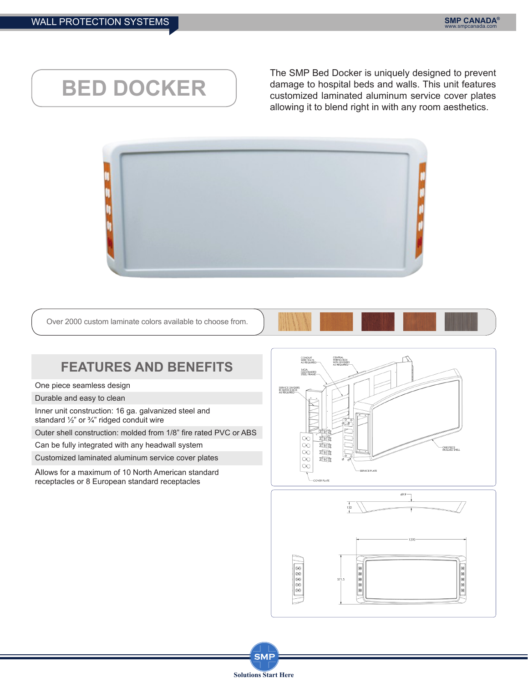## **BED DOCKER**

The SMP Bed Docker is uniquely designed to prevent damage to hospital beds and walls. This unit features customized laminated aluminum service cover plates allowing it to blend right in with any room aesthetics.



Over 2000 custom laminate colors available to choose from.



## **FEATURES AND BENEFITS**

One piece seamless design

Durable and easy to clean

Inner unit construction: 16 ga. galvanized steel and standard ½" or ¾" ridged conduit wire

Outer shell construction: molded from 1/8" fire rated PVC or ABS

Can be fully integrated with any headwall system

Customized laminated aluminum service cover plates

Allows for a maximum of 10 North American standard receptacles or 8 European standard receptacles